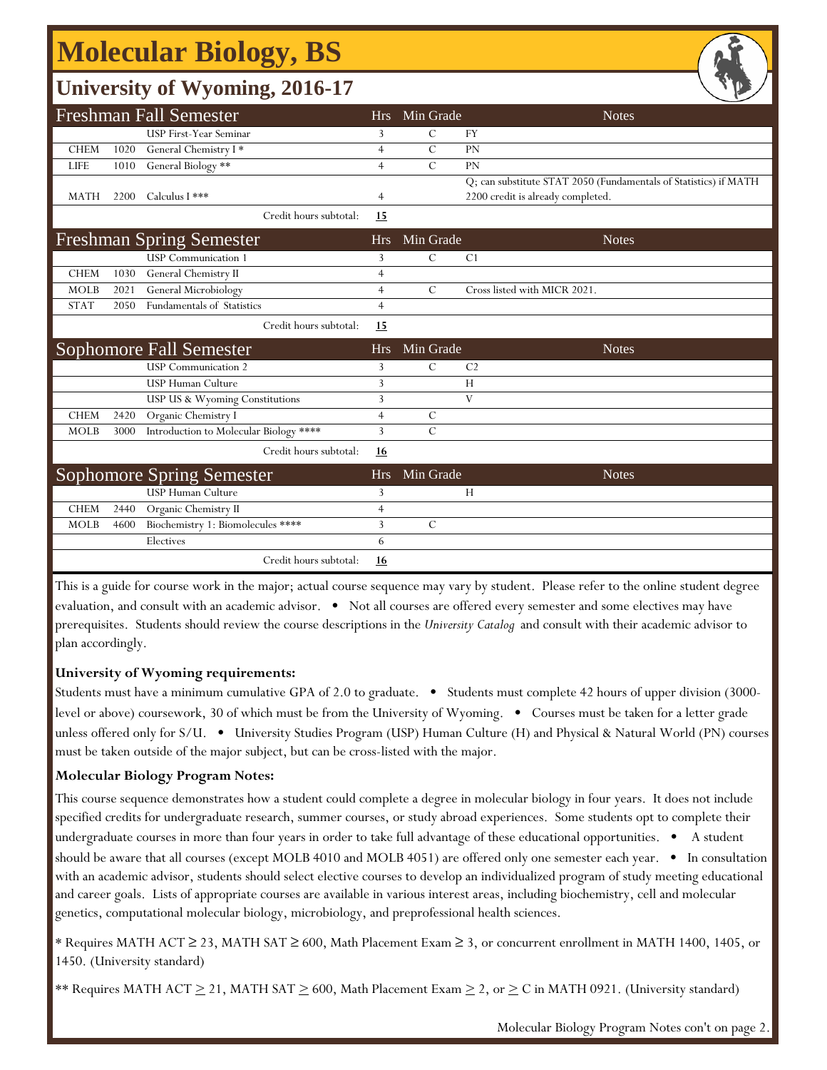# **Molecular Biology, BS**

### **University of Wyoming, 2016-17**

|             |      |                                                              |                |                | - -                                                              |
|-------------|------|--------------------------------------------------------------|----------------|----------------|------------------------------------------------------------------|
|             |      | <b>Freshman Fall Semester</b>                                | <b>Hrs</b>     | Min Grade      | <b>Notes</b>                                                     |
|             |      | USP First-Year Seminar                                       | 3              | C              | <b>FY</b>                                                        |
| <b>CHEM</b> | 1020 | General Chemistry I*                                         | $\overline{4}$ | $\mathcal{C}$  | PN                                                               |
| <b>LIFE</b> | 1010 | General Biology **                                           | $\overline{4}$ | $\overline{C}$ | PN                                                               |
|             |      |                                                              |                |                | Q; can substitute STAT 2050 (Fundamentals of Statistics) if MATH |
| MATH        | 2200 | Calculus I ***                                               | $\overline{4}$ |                | 2200 credit is already completed.                                |
|             |      | Credit hours subtotal:                                       | 15             |                |                                                                  |
|             |      | <b>Freshman Spring Semester</b>                              | <b>Hrs</b>     | Min Grade      | <b>Notes</b>                                                     |
|             |      | <b>USP</b> Communication 1                                   | 3              | $\mathcal{C}$  | C <sub>1</sub>                                                   |
| <b>CHEM</b> | 1030 | General Chemistry II                                         | $\overline{4}$ |                |                                                                  |
| <b>MOLB</b> | 2021 | General Microbiology                                         | $\overline{4}$ | $\mathcal{C}$  | Cross listed with MICR 2021.                                     |
| <b>STAT</b> | 2050 | Fundamentals of Statistics                                   | $\overline{4}$ |                |                                                                  |
|             |      | Credit hours subtotal:                                       | 15             |                |                                                                  |
|             |      |                                                              |                |                |                                                                  |
|             |      | Sophomore Fall Semester                                      | <b>Hrs</b>     | Min Grade      | <b>Notes</b>                                                     |
|             |      | <b>USP</b> Communication 2                                   | 3              | $\mathcal{C}$  | C <sub>2</sub>                                                   |
|             |      | <b>USP Human Culture</b>                                     | 3              |                | H                                                                |
|             |      | USP US & Wyoming Constitutions                               | 3              |                | V                                                                |
| <b>CHEM</b> | 2420 | Organic Chemistry I                                          | $\overline{4}$ | $\mathcal{C}$  |                                                                  |
| <b>MOLB</b> | 3000 | Introduction to Molecular Biology ****                       | 3              | $\mathcal{C}$  |                                                                  |
|             |      | Credit hours subtotal:                                       | <u>16</u>      |                |                                                                  |
|             |      |                                                              | <b>Hrs</b>     | Min Grade      | <b>Notes</b>                                                     |
|             |      | <b>Sophomore Spring Semester</b><br><b>USP Human Culture</b> | 3              |                | H                                                                |
| <b>CHEM</b> | 2440 | Organic Chemistry II                                         | $\overline{4}$ |                |                                                                  |
| <b>MOLB</b> | 4600 | Biochemistry 1: Biomolecules ****                            | 3              | $\mathcal{C}$  |                                                                  |
|             |      | Electives                                                    | 6              |                |                                                                  |

This is a guide for course work in the major; actual course sequence may vary by student. Please refer to the online student degree evaluation, and consult with an academic advisor. • Not all courses are offered every semester and some electives may have prerequisites. Students should review the course descriptions in the *University Catalog* and consult with their academic advisor to plan accordingly.

#### **University of Wyoming requirements:**

Students must have a minimum cumulative GPA of 2.0 to graduate. • Students must complete 42 hours of upper division (3000 level or above) coursework, 30 of which must be from the University of Wyoming. • Courses must be taken for a letter grade unless offered only for S/U. • University Studies Program (USP) Human Culture (H) and Physical & Natural World (PN) courses must be taken outside of the major subject, but can be cross-listed with the major.

#### **Molecular Biology Program Notes:**

This course sequence demonstrates how a student could complete a degree in molecular biology in four years. It does not include specified credits for undergraduate research, summer courses, or study abroad experiences. Some students opt to complete their undergraduate courses in more than four years in order to take full advantage of these educational opportunities. • A student should be aware that all courses (except MOLB 4010 and MOLB 4051) are offered only one semester each year. • In consultation with an academic advisor, students should select elective courses to develop an individualized program of study meeting educational and career goals. Lists of appropriate courses are available in various interest areas, including biochemistry, cell and molecular genetics, computational molecular biology, microbiology, and preprofessional health sciences.

\* Requires MATH ACT ≥ 23, MATH SAT ≥ 600, Math Placement Exam ≥ 3, or concurrent enrollment in MATH 1400, 1405, or 1450. (University standard)

\*\* Requires MATH ACT  $\geq$  21, MATH SAT  $\geq$  600, Math Placement Exam  $\geq$  2, or  $\geq$  C in MATH 0921. (University standard)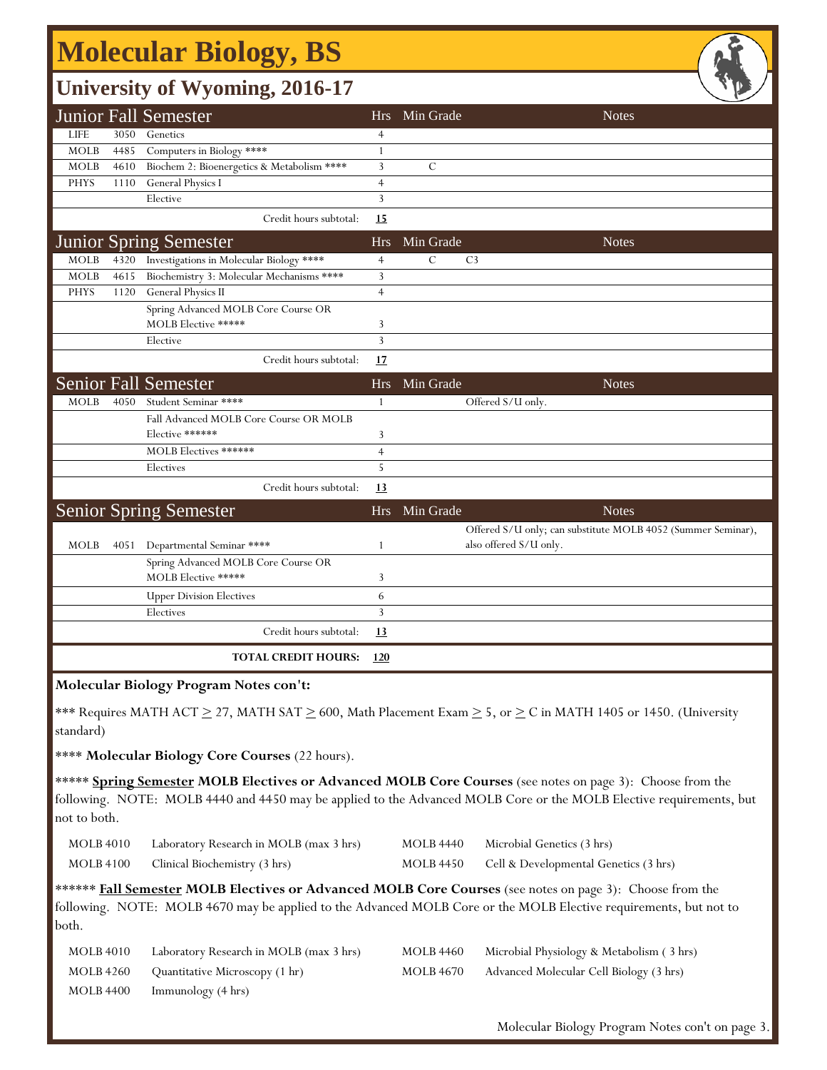## **Molecular Biology, BS**

### **University of Wyoming, 2016-17**

|             |      | <b>Junior Fall Semester</b>                |                | Hrs Min Grade                   | <b>Notes</b>                                                 |
|-------------|------|--------------------------------------------|----------------|---------------------------------|--------------------------------------------------------------|
| <b>LIFE</b> | 3050 | Genetics                                   | $\overline{4}$ |                                 |                                                              |
| <b>MOLB</b> | 4485 | Computers in Biology ****                  | $\mathbf{1}$   |                                 |                                                              |
| <b>MOLB</b> | 4610 | Biochem 2: Bioenergetics & Metabolism **** | 3              | $\mathcal{C}$                   |                                                              |
| <b>PHYS</b> | 1110 | General Physics I                          | $\overline{4}$ |                                 |                                                              |
|             |      | Elective                                   | 3              |                                 |                                                              |
|             |      | Credit hours subtotal:                     | 15             |                                 |                                                              |
|             |      | <b>Junior Spring Semester</b>              | <b>Hrs</b>     | Min Grade                       | <b>Notes</b>                                                 |
| <b>MOLB</b> | 4320 | Investigations in Molecular Biology ****   | $\overline{4}$ | $\mathcal{C}$<br>C <sub>3</sub> |                                                              |
| <b>MOLB</b> | 4615 | Biochemistry 3: Molecular Mechanisms ****  | 3              |                                 |                                                              |
| <b>PHYS</b> | 1120 | General Physics II                         | $\overline{4}$ |                                 |                                                              |
|             |      | Spring Advanced MOLB Core Course OR        |                |                                 |                                                              |
|             |      | MOLB Elective *****                        | 3              |                                 |                                                              |
|             |      | Elective                                   | 3              |                                 |                                                              |
|             |      | Credit hours subtotal:                     | 17             |                                 |                                                              |
|             |      | <b>Senior Fall Semester</b>                | <b>Hrs</b>     | Min Grade                       | <b>Notes</b>                                                 |
| <b>MOLB</b> | 4050 | Student Seminar ****                       | 1              | Offered S/U only.               |                                                              |
|             |      | Fall Advanced MOLB Core Course OR MOLB     |                |                                 |                                                              |
|             |      | Elective ******                            | 3              |                                 |                                                              |
|             |      | MOLB Electives ******                      | $\overline{4}$ |                                 |                                                              |
|             |      | Electives                                  | 5              |                                 |                                                              |
|             |      | Credit hours subtotal:                     | 13             |                                 |                                                              |
|             |      | <b>Senior Spring Semester</b>              | <b>Hrs</b>     | Min Grade                       | <b>Notes</b>                                                 |
|             |      |                                            |                |                                 | Offered S/U only; can substitute MOLB 4052 (Summer Seminar), |
| <b>MOLB</b> | 4051 | Departmental Seminar ****                  | 1              | also offered S/U only.          |                                                              |
|             |      | Spring Advanced MOLB Core Course OR        |                |                                 |                                                              |
|             |      | <b>MOLB Elective *****</b>                 | 3              |                                 |                                                              |
|             |      | <b>Upper Division Electives</b>            | 6              |                                 |                                                              |
|             |      | Electives                                  | $\overline{3}$ |                                 |                                                              |
|             |      | Credit hours subtotal:                     | 13             |                                 |                                                              |
|             |      | <b>TOTAL CREDIT HOURS:</b>                 | <u>120</u>     |                                 |                                                              |

#### **Molecular Biology Program Notes con't:**

\*\*\* Requires MATH ACT  $\geq$  27, MATH SAT  $\geq$  600, Math Placement Exam  $\geq$  5, or  $\geq$  C in MATH 1405 or 1450. (University standard)

\*\*\*\* **Molecular Biology Core Courses** (22 hours).

\*\*\*\*\* **Spring Semester MOLB Electives or Advanced MOLB Core Courses** (see notes on page 3): Choose from the following. NOTE: MOLB 4440 and 4450 may be applied to the Advanced MOLB Core or the MOLB Elective requirements, but not to both.

| <b>MOLB</b> 4010 | Laboratory Research in MOLB (max 3 hrs) |
|------------------|-----------------------------------------|
| <b>MOLB 4100</b> | Clinical Biochemistry (3 hrs)           |

MOLB 4440 Microbial Genetics (3 hrs)

MOLB 4450 Cell & Developmental Genetics (3 hrs)

\*\*\*\*\*\* **Fall Semester MOLB Electives or Advanced MOLB Core Courses** (see notes on page 3): Choose from the following. NOTE: MOLB 4670 may be applied to the Advanced MOLB Core or the MOLB Elective requirements, but not to both.

| MOLB 4010 | Laboratory Research in MOLB (max 3 hrs) | <b>MOLB 4460</b> | Microbial Physiology & Metabolism (3 hrs) |
|-----------|-----------------------------------------|------------------|-------------------------------------------|
| MOLB 4260 | Quantitative Microscopy (1 hr)          | MOLB 4670        | Advanced Molecular Cell Biology (3 hrs)   |
| MOLB 4400 | Immunology (4 hrs)                      |                  |                                           |

Molecular Biology Program Notes con't on page 3.